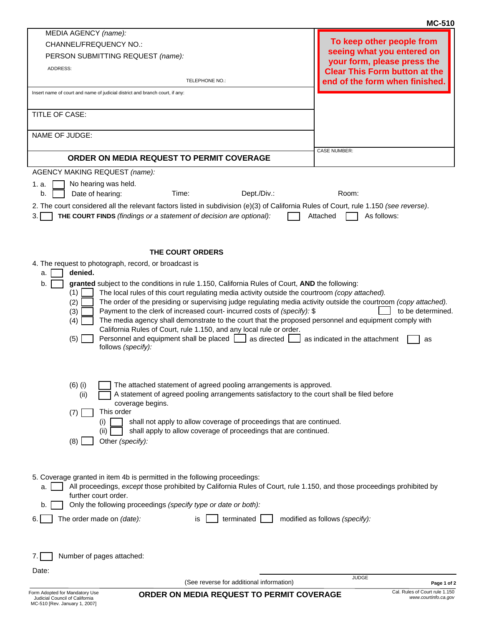|                 | (See reverse for additional information)                                                                                                                                                                   | Page 1 of 2<br>Cal. Rules of Court rule 1.150                       |
|-----------------|------------------------------------------------------------------------------------------------------------------------------------------------------------------------------------------------------------|---------------------------------------------------------------------|
| Date:           |                                                                                                                                                                                                            | <b>JUDGE</b>                                                        |
| 7.1             | Number of pages attached:                                                                                                                                                                                  |                                                                     |
|                 |                                                                                                                                                                                                            |                                                                     |
| 6.              | The order made on (date):<br>terminated<br>is                                                                                                                                                              | modified as follows (specify):                                      |
| b.              | further court order.<br>Only the following proceedings (specify type or date or both):                                                                                                                     |                                                                     |
| a.              | All proceedings, except those prohibited by California Rules of Court, rule 1.150, and those proceedings prohibited by                                                                                     |                                                                     |
|                 | 5. Coverage granted in item 4b is permitted in the following proceedings:                                                                                                                                  |                                                                     |
|                 | Other (specify):<br>(8)                                                                                                                                                                                    |                                                                     |
|                 | shall not apply to allow coverage of proceedings that are continued.<br>(i)<br>shall apply to allow coverage of proceedings that are continued.<br>(ii)                                                    |                                                                     |
|                 | This order<br>(7)                                                                                                                                                                                          |                                                                     |
|                 | A statement of agreed pooling arrangements satisfactory to the court shall be filed before<br>(ii)<br>coverage begins.                                                                                     |                                                                     |
|                 | The attached statement of agreed pooling arrangements is approved.<br>$(6)$ (i)                                                                                                                            |                                                                     |
|                 |                                                                                                                                                                                                            |                                                                     |
|                 | (5)<br>Personnel and equipment shall be placed   as directed  <br>follows (specify):                                                                                                                       | as indicated in the attachment<br>as                                |
|                 | The media agency shall demonstrate to the court that the proposed personnel and equipment comply with<br>(4)<br>California Rules of Court, rule 1.150, and any local rule or order.                        |                                                                     |
|                 | (2)<br>The order of the presiding or supervising judge regulating media activity outside the courtroom (copy attached).<br>Payment to the clerk of increased court- incurred costs of (specify): \$<br>(3) | to be determined.                                                   |
|                 | (1)<br>The local rules of this court regulating media activity outside the courtroom (copy attached).                                                                                                      |                                                                     |
| a.<br>b.        | denied.<br>granted subject to the conditions in rule 1.150, California Rules of Court, AND the following:                                                                                                  |                                                                     |
|                 | 4. The request to photograph, record, or broadcast is                                                                                                                                                      |                                                                     |
|                 | THE COURT ORDERS                                                                                                                                                                                           |                                                                     |
|                 |                                                                                                                                                                                                            |                                                                     |
| 3.1             | <b>THE COURT FINDS</b> (findings or a statement of decision are optional):                                                                                                                                 | As follows:<br>Attached                                             |
| b.              | Dept./Div.:<br>Date of hearing:<br>Time:<br>2. The court considered all the relevant factors listed in subdivision (e)(3) of California Rules of Court, rule 1.150 (see reverse).                          | Room:                                                               |
| 1. a.           | No hearing was held.                                                                                                                                                                                       |                                                                     |
|                 | <b>AGENCY MAKING REQUEST (name):</b>                                                                                                                                                                       |                                                                     |
|                 | ORDER ON MEDIA REQUEST TO PERMIT COVERAGE                                                                                                                                                                  | <b>CASE NUMBER:</b>                                                 |
| NAME OF JUDGE:  |                                                                                                                                                                                                            |                                                                     |
| TITLE OF CASE:  |                                                                                                                                                                                                            |                                                                     |
|                 | Insert name of court and name of judicial district and branch court, if any:                                                                                                                               |                                                                     |
|                 | TELEPHONE NO.:                                                                                                                                                                                             | end of the form when finished.                                      |
| <b>ADDRESS:</b> |                                                                                                                                                                                                            | your form, please press the<br><b>Clear This Form button at the</b> |
|                 | PERSON SUBMITTING REQUEST (name):                                                                                                                                                                          | seeing what you entered on                                          |
|                 | <b>CHANNEL/FREQUENCY NO.:</b>                                                                                                                                                                              |                                                                     |